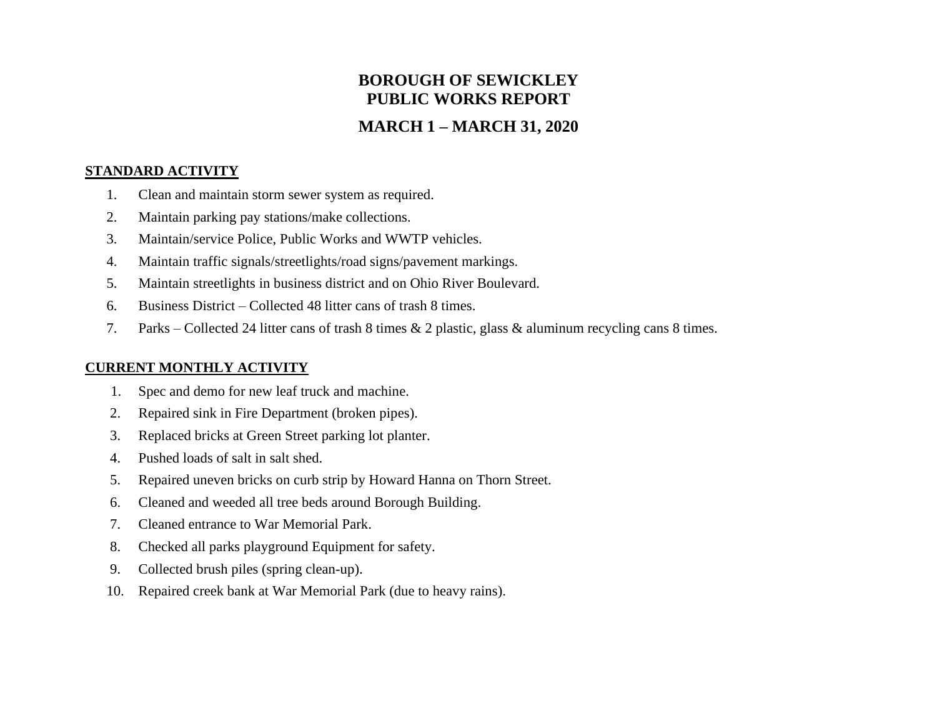# **BOROUGH OF SEWICKLEY PUBLIC WORKS REPORT**

## **MARCH 1 – MARCH 31, 2020**

#### **STANDARD ACTIVITY**

- 1. Clean and maintain storm sewer system as required.
- 2. Maintain parking pay stations/make collections.
- 3. Maintain/service Police, Public Works and WWTP vehicles.
- 4. Maintain traffic signals/streetlights/road signs/pavement markings.
- 5. Maintain streetlights in business district and on Ohio River Boulevard.
- 6. Business District Collected 48 litter cans of trash 8 times.
- 7. Parks Collected 24 litter cans of trash 8 times & 2 plastic, glass & aluminum recycling cans 8 times.

## **CURRENT MONTHLY ACTIVITY**

- 1. Spec and demo for new leaf truck and machine.
- 2. Repaired sink in Fire Department (broken pipes).
- 3. Replaced bricks at Green Street parking lot planter.
- 4. Pushed loads of salt in salt shed.
- 5. Repaired uneven bricks on curb strip by Howard Hanna on Thorn Street.
- 6. Cleaned and weeded all tree beds around Borough Building.
- 7. Cleaned entrance to War Memorial Park.
- 8. Checked all parks playground Equipment for safety.
- 9. Collected brush piles (spring clean-up).
- 10. Repaired creek bank at War Memorial Park (due to heavy rains).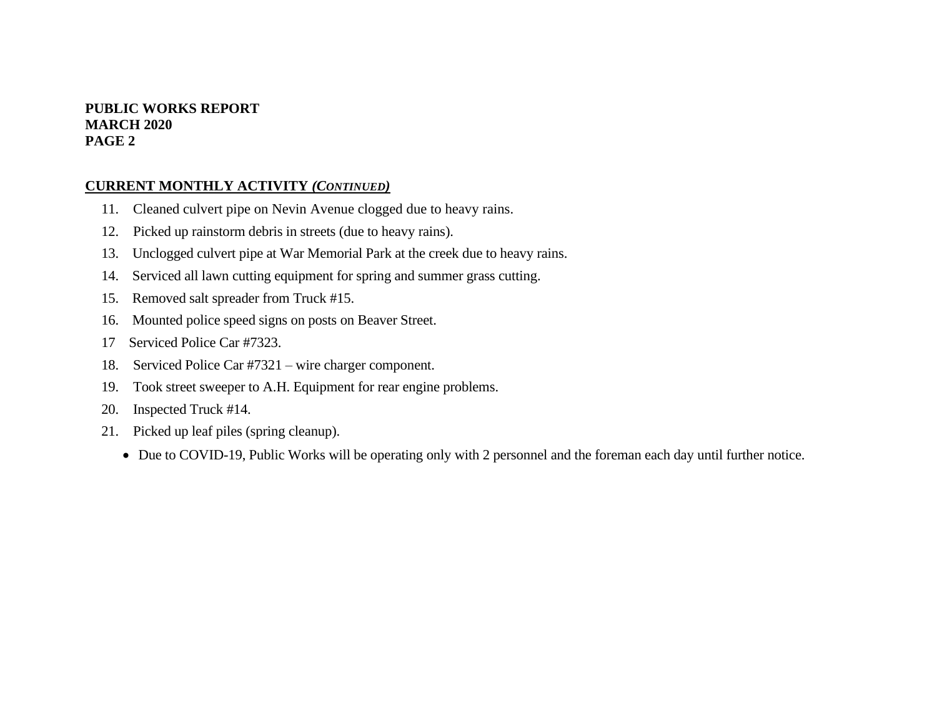## **PUBLIC WORKS REPORT MARCH 2020 PAGE 2**

## **CURRENT MONTHLY ACTIVITY** *(CONTINUED)*

- 11. Cleaned culvert pipe on Nevin Avenue clogged due to heavy rains.
- 12. Picked up rainstorm debris in streets (due to heavy rains).
- 13. Unclogged culvert pipe at War Memorial Park at the creek due to heavy rains.
- 14. Serviced all lawn cutting equipment for spring and summer grass cutting.
- 15. Removed salt spreader from Truck #15.
- 16. Mounted police speed signs on posts on Beaver Street.
- 17 Serviced Police Car #7323.
- 18. Serviced Police Car #7321 wire charger component.
- 19. Took street sweeper to A.H. Equipment for rear engine problems.
- 20. Inspected Truck #14.
- 21. Picked up leaf piles (spring cleanup).
	- Due to COVID-19, Public Works will be operating only with 2 personnel and the foreman each day until further notice.